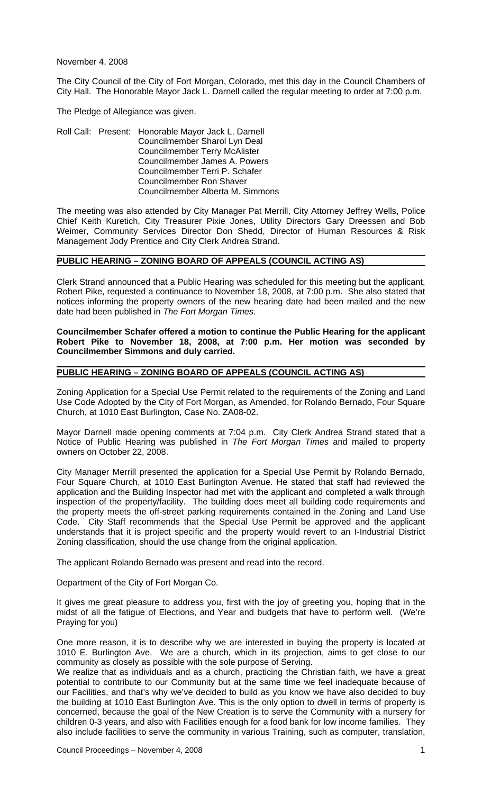November 4, 2008

The City Council of the City of Fort Morgan, Colorado, met this day in the Council Chambers of City Hall. The Honorable Mayor Jack L. Darnell called the regular meeting to order at 7:00 p.m.

The Pledge of Allegiance was given.

Roll Call: Present: Honorable Mayor Jack L. Darnell Councilmember Sharol Lyn Deal Councilmember Terry McAlister Councilmember James A. Powers Councilmember Terri P. Schafer Councilmember Ron Shaver Councilmember Alberta M. Simmons

The meeting was also attended by City Manager Pat Merrill, City Attorney Jeffrey Wells, Police Chief Keith Kuretich, City Treasurer Pixie Jones, Utility Directors Gary Dreessen and Bob Weimer, Community Services Director Don Shedd, Director of Human Resources & Risk Management Jody Prentice and City Clerk Andrea Strand.

#### **PUBLIC HEARING – ZONING BOARD OF APPEALS (COUNCIL ACTING AS)**

Clerk Strand announced that a Public Hearing was scheduled for this meeting but the applicant, Robert Pike, requested a continuance to November 18, 2008, at 7:00 p.m. She also stated that notices informing the property owners of the new hearing date had been mailed and the new date had been published in *The Fort Morgan Times*.

#### **Councilmember Schafer offered a motion to continue the Public Hearing for the applicant Robert Pike to November 18, 2008, at 7:00 p.m. Her motion was seconded by Councilmember Simmons and duly carried.**

### **PUBLIC HEARING – ZONING BOARD OF APPEALS (COUNCIL ACTING AS)**

Zoning Application for a Special Use Permit related to the requirements of the Zoning and Land Use Code Adopted by the City of Fort Morgan, as Amended, for Rolando Bernado, Four Square Church, at 1010 East Burlington, Case No. ZA08-02.

Mayor Darnell made opening comments at 7:04 p.m. City Clerk Andrea Strand stated that a Notice of Public Hearing was published in *The Fort Morgan Times* and mailed to property owners on October 22, 2008.

City Manager Merrill presented the application for a Special Use Permit by Rolando Bernado, Four Square Church, at 1010 East Burlington Avenue. He stated that staff had reviewed the application and the Building Inspector had met with the applicant and completed a walk through inspection of the property/facility. The building does meet all building code requirements and the property meets the off-street parking requirements contained in the Zoning and Land Use Code. City Staff recommends that the Special Use Permit be approved and the applicant understands that it is project specific and the property would revert to an I-Industrial District Zoning classification, should the use change from the original application.

The applicant Rolando Bernado was present and read into the record.

Department of the City of Fort Morgan Co.

It gives me great pleasure to address you, first with the joy of greeting you, hoping that in the midst of all the fatigue of Elections, and Year and budgets that have to perform well. (We're Praying for you)

One more reason, it is to describe why we are interested in buying the property is located at 1010 E. Burlington Ave. We are a church, which in its projection, aims to get close to our community as closely as possible with the sole purpose of Serving.

We realize that as individuals and as a church, practicing the Christian faith, we have a great potential to contribute to our Community but at the same time we feel inadequate because of our Facilities, and that's why we've decided to build as you know we have also decided to buy the building at 1010 East Burlington Ave. This is the only option to dwell in terms of property is concerned, because the goal of the New Creation is to serve the Community with a nursery for children 0-3 years, and also with Facilities enough for a food bank for low income families. They also include facilities to serve the community in various Training, such as computer, translation,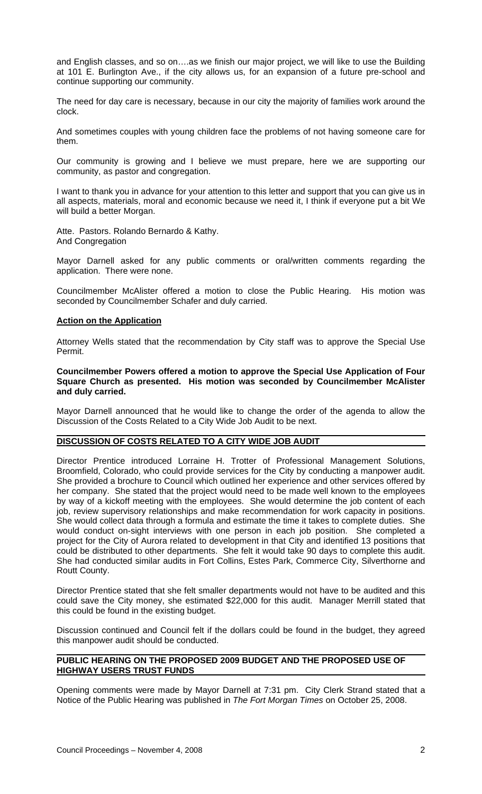and English classes, and so on….as we finish our major project, we will like to use the Building at 101 E. Burlington Ave., if the city allows us, for an expansion of a future pre-school and continue supporting our community.

The need for day care is necessary, because in our city the majority of families work around the clock.

And sometimes couples with young children face the problems of not having someone care for them.

Our community is growing and I believe we must prepare, here we are supporting our community, as pastor and congregation.

I want to thank you in advance for your attention to this letter and support that you can give us in all aspects, materials, moral and economic because we need it, I think if everyone put a bit We will build a better Morgan.

Atte. Pastors. Rolando Bernardo & Kathy. And Congregation

Mayor Darnell asked for any public comments or oral/written comments regarding the application. There were none.

Councilmember McAlister offered a motion to close the Public Hearing. His motion was seconded by Councilmember Schafer and duly carried.

### **Action on the Application**

Attorney Wells stated that the recommendation by City staff was to approve the Special Use Permit.

### **Councilmember Powers offered a motion to approve the Special Use Application of Four Square Church as presented. His motion was seconded by Councilmember McAlister and duly carried.**

Mayor Darnell announced that he would like to change the order of the agenda to allow the Discussion of the Costs Related to a City Wide Job Audit to be next.

### **DISCUSSION OF COSTS RELATED TO A CITY WIDE JOB AUDIT**

Director Prentice introduced Lorraine H. Trotter of Professional Management Solutions, Broomfield, Colorado, who could provide services for the City by conducting a manpower audit. She provided a brochure to Council which outlined her experience and other services offered by her company. She stated that the project would need to be made well known to the employees by way of a kickoff meeting with the employees. She would determine the job content of each job, review supervisory relationships and make recommendation for work capacity in positions. She would collect data through a formula and estimate the time it takes to complete duties. She would conduct on-sight interviews with one person in each job position. She completed a project for the City of Aurora related to development in that City and identified 13 positions that could be distributed to other departments. She felt it would take 90 days to complete this audit. She had conducted similar audits in Fort Collins, Estes Park, Commerce City, Silverthorne and Routt County.

 Director Prentice stated that she felt smaller departments would not have to be audited and this could save the City money, she estimated \$22,000 for this audit. Manager Merrill stated that this could be found in the existing budget.

 Discussion continued and Council felt if the dollars could be found in the budget, they agreed this manpower audit should be conducted.

# **PUBLIC HEARING ON THE PROPOSED 2009 BUDGET AND THE PROPOSED USE OF HIGHWAY USERS TRUST FUNDS**

Opening comments were made by Mayor Darnell at 7:31 pm. City Clerk Strand stated that a Notice of the Public Hearing was published in *The Fort Morgan Times* on October 25, 2008.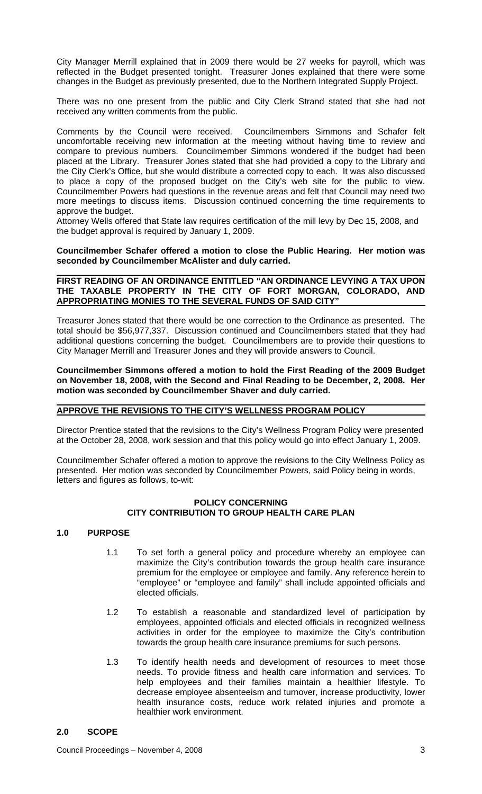City Manager Merrill explained that in 2009 there would be 27 weeks for payroll, which was reflected in the Budget presented tonight. Treasurer Jones explained that there were some changes in the Budget as previously presented, due to the Northern Integrated Supply Project.

There was no one present from the public and City Clerk Strand stated that she had not received any written comments from the public.

Comments by the Council were received. Councilmembers Simmons and Schafer felt uncomfortable receiving new information at the meeting without having time to review and compare to previous numbers. Councilmember Simmons wondered if the budget had been placed at the Library. Treasurer Jones stated that she had provided a copy to the Library and the City Clerk's Office, but she would distribute a corrected copy to each. It was also discussed to place a copy of the proposed budget on the City's web site for the public to view. Councilmember Powers had questions in the revenue areas and felt that Council may need two more meetings to discuss items. Discussion continued concerning the time requirements to approve the budget.

Attorney Wells offered that State law requires certification of the mill levy by Dec 15, 2008, and the budget approval is required by January 1, 2009.

### **Councilmember Schafer offered a motion to close the Public Hearing. Her motion was seconded by Councilmember McAlister and duly carried.**

### **FIRST READING OF AN ORDINANCE ENTITLED "AN ORDINANCE LEVYING A TAX UPON THE TAXABLE PROPERTY IN THE CITY OF FORT MORGAN, COLORADO, AND APPROPRIATING MONIES TO THE SEVERAL FUNDS OF SAID CITY"**

Treasurer Jones stated that there would be one correction to the Ordinance as presented. The total should be \$56,977,337. Discussion continued and Councilmembers stated that they had additional questions concerning the budget. Councilmembers are to provide their questions to City Manager Merrill and Treasurer Jones and they will provide answers to Council.

**Councilmember Simmons offered a motion to hold the First Reading of the 2009 Budget on November 18, 2008, with the Second and Final Reading to be December, 2, 2008. Her motion was seconded by Councilmember Shaver and duly carried.** 

#### **APPROVE THE REVISIONS TO THE CITY'S WELLNESS PROGRAM POLICY**

Director Prentice stated that the revisions to the City's Wellness Program Policy were presented at the October 28, 2008, work session and that this policy would go into effect January 1, 2009.

Councilmember Schafer offered a motion to approve the revisions to the City Wellness Policy as presented. Her motion was seconded by Councilmember Powers, said Policy being in words, letters and figures as follows, to-wit:

### **POLICY CONCERNING CITY CONTRIBUTION TO GROUP HEALTH CARE PLAN**

# **1.0 PURPOSE**

- 1.1 To set forth a general policy and procedure whereby an employee can maximize the City's contribution towards the group health care insurance premium for the employee or employee and family. Any reference herein to "employee" or "employee and family" shall include appointed officials and elected officials.
- 1.2 To establish a reasonable and standardized level of participation by employees, appointed officials and elected officials in recognized wellness activities in order for the employee to maximize the City's contribution towards the group health care insurance premiums for such persons.
- 1.3 To identify health needs and development of resources to meet those needs. To provide fitness and health care information and services. To help employees and their families maintain a healthier lifestyle. To decrease employee absenteeism and turnover, increase productivity, lower health insurance costs, reduce work related injuries and promote a healthier work environment.

# **2.0 SCOPE**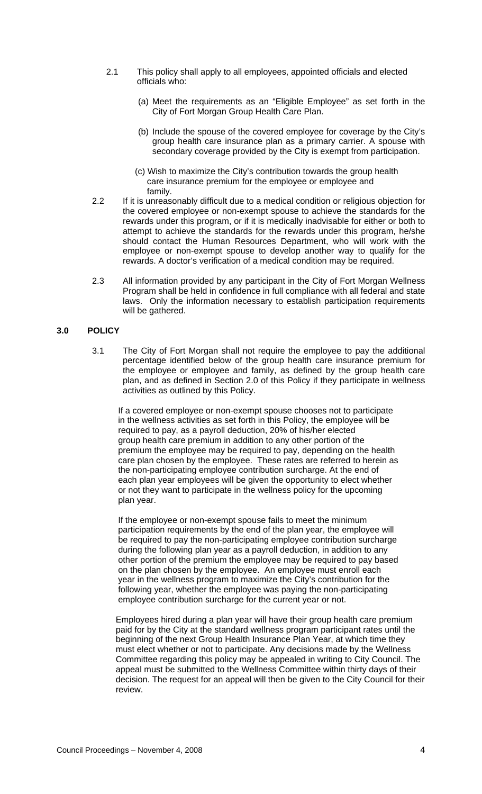- 2.1 This policy shall apply to all employees, appointed officials and elected officials who:
	- (a) Meet the requirements as an "Eligible Employee" as set forth in the City of Fort Morgan Group Health Care Plan.
	- (b) Include the spouse of the covered employee for coverage by the City's group health care insurance plan as a primary carrier. A spouse with secondary coverage provided by the City is exempt from participation.
	- (c) Wish to maximize the City's contribution towards the group health care insurance premium for the employee or employee and family.
- 2.2 If it is unreasonably difficult due to a medical condition or religious objection for the covered employee or non-exempt spouse to achieve the standards for the rewards under this program, or if it is medically inadvisable for either or both to attempt to achieve the standards for the rewards under this program, he/she should contact the Human Resources Department, who will work with the employee or non-exempt spouse to develop another way to qualify for the rewards. A doctor's verification of a medical condition may be required.
- 2.3 All information provided by any participant in the City of Fort Morgan Wellness Program shall be held in confidence in full compliance with all federal and state laws. Only the information necessary to establish participation requirements will be gathered.

### **3.0 POLICY**

3.1 The City of Fort Morgan shall not require the employee to pay the additional percentage identified below of the group health care insurance premium for the employee or employee and family, as defined by the group health care plan, and as defined in Section 2.0 of this Policy if they participate in wellness activities as outlined by this Policy.

 If a covered employee or non-exempt spouse chooses not to participate in the wellness activities as set forth in this Policy, the employee will be required to pay, as a payroll deduction, 20% of his/her elected group health care premium in addition to any other portion of the premium the employee may be required to pay, depending on the health care plan chosen by the employee. These rates are referred to herein as the non-participating employee contribution surcharge. At the end of each plan year employees will be given the opportunity to elect whether or not they want to participate in the wellness policy for the upcoming plan year.

 If the employee or non-exempt spouse fails to meet the minimum participation requirements by the end of the plan year, the employee will be required to pay the non-participating employee contribution surcharge during the following plan year as a payroll deduction, in addition to any other portion of the premium the employee may be required to pay based on the plan chosen by the employee. An employee must enroll each year in the wellness program to maximize the City's contribution for the following year, whether the employee was paying the non-participating employee contribution surcharge for the current year or not.

Employees hired during a plan year will have their group health care premium paid for by the City at the standard wellness program participant rates until the beginning of the next Group Health Insurance Plan Year, at which time they must elect whether or not to participate. Any decisions made by the Wellness Committee regarding this policy may be appealed in writing to City Council. The appeal must be submitted to the Wellness Committee within thirty days of their decision. The request for an appeal will then be given to the City Council for their review.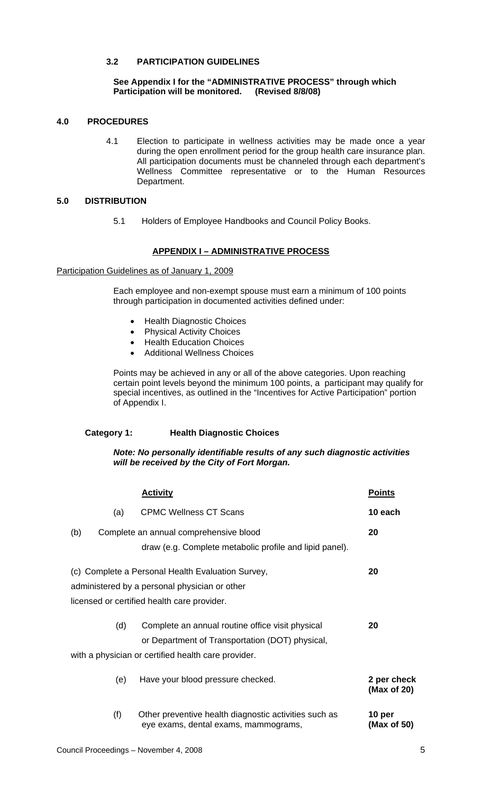# **3.2 PARTICIPATION GUIDELINES**

### **See Appendix I for the "ADMINISTRATIVE PROCESS" through which Participation will be monitored.**

# **4.0 PROCEDURES**

4.1 Election to participate in wellness activities may be made once a year during the open enrollment period for the group health care insurance plan. All participation documents must be channeled through each department's Wellness Committee representative or to the Human Resources Department.

# **5.0 DISTRIBUTION**

5.1 Holders of Employee Handbooks and Council Policy Books.

# **APPENDIX I – ADMINISTRATIVE PROCESS**

Participation Guidelines as of January 1, 2009

Each employee and non-exempt spouse must earn a minimum of 100 points through participation in documented activities defined under:

- Health Diagnostic Choices
- Physical Activity Choices
- Health Education Choices
- Additional Wellness Choices

Points may be achieved in any or all of the above categories. Upon reaching certain point levels beyond the minimum 100 points, a participant may qualify for special incentives, as outlined in the "Incentives for Active Participation" portion of Appendix I.

# **Category 1: Health Diagnostic Choices**

### *Note: No personally identifiable results of any such diagnostic activities will be received by the City of Fort Morgan.*

|                                                         |                                        | <b>Activity</b>                                                                               | <b>Points</b>              |  |  |  |
|---------------------------------------------------------|----------------------------------------|-----------------------------------------------------------------------------------------------|----------------------------|--|--|--|
|                                                         | (a)                                    | <b>CPMC Wellness CT Scans</b>                                                                 | 10 each                    |  |  |  |
| (b)                                                     | Complete an annual comprehensive blood |                                                                                               |                            |  |  |  |
|                                                         |                                        | draw (e.g. Complete metabolic profile and lipid panel).                                       |                            |  |  |  |
| 20<br>(c) Complete a Personal Health Evaluation Survey, |                                        |                                                                                               |                            |  |  |  |
| administered by a personal physician or other           |                                        |                                                                                               |                            |  |  |  |
| licensed or certified health care provider.             |                                        |                                                                                               |                            |  |  |  |
|                                                         |                                        |                                                                                               |                            |  |  |  |
|                                                         | (d)                                    | Complete an annual routine office visit physical                                              | 20                         |  |  |  |
|                                                         |                                        | or Department of Transportation (DOT) physical,                                               |                            |  |  |  |
| with a physician or certified health care provider.     |                                        |                                                                                               |                            |  |  |  |
|                                                         | (e)                                    | Have your blood pressure checked.                                                             | 2 per check<br>(Max of 20) |  |  |  |
|                                                         | (f)                                    | Other preventive health diagnostic activities such as<br>eye exams, dental exams, mammograms, | 10 per<br>(Max of 50)      |  |  |  |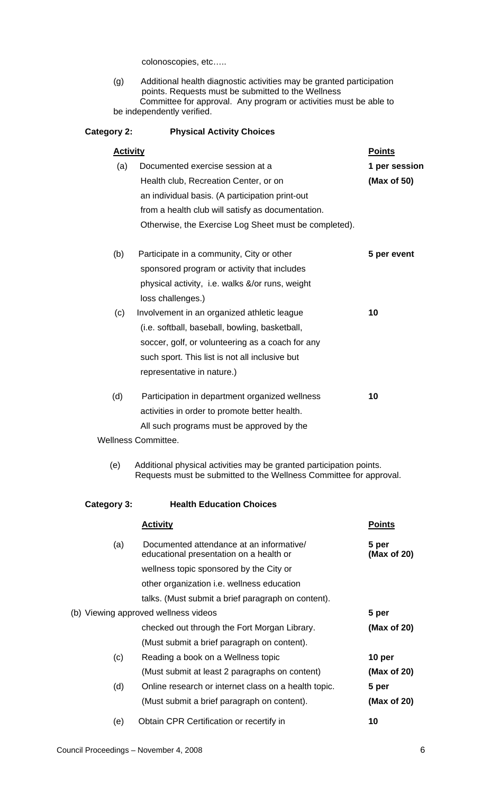colonoscopies, etc…..

 (g) Additional health diagnostic activities may be granted participation points. Requests must be submitted to the Wellness Committee for approval. Any program or activities must be able to be independently verified.

| Category 2:     | <b>Physical Activity Choices</b>                                                                                                          |                      |
|-----------------|-------------------------------------------------------------------------------------------------------------------------------------------|----------------------|
| <b>Activity</b> |                                                                                                                                           | <b>Points</b>        |
| (a)             | Documented exercise session at a                                                                                                          | 1 per session        |
|                 | Health club, Recreation Center, or on                                                                                                     | (Max of 50)          |
|                 | an individual basis. (A participation print-out                                                                                           |                      |
|                 | from a health club will satisfy as documentation.                                                                                         |                      |
|                 | Otherwise, the Exercise Log Sheet must be completed).                                                                                     |                      |
| (b)             | Participate in a community, City or other                                                                                                 | 5 per event          |
|                 | sponsored program or activity that includes                                                                                               |                      |
|                 | physical activity, i.e. walks &/or runs, weight                                                                                           |                      |
|                 | loss challenges.)                                                                                                                         |                      |
| (c)             | Involvement in an organized athletic league                                                                                               | 10                   |
|                 | (i.e. softball, baseball, bowling, basketball,                                                                                            |                      |
|                 | soccer, golf, or volunteering as a coach for any                                                                                          |                      |
|                 | such sport. This list is not all inclusive but                                                                                            |                      |
|                 | representative in nature.)                                                                                                                |                      |
| (d)             | Participation in department organized wellness                                                                                            | 10                   |
|                 | activities in order to promote better health.                                                                                             |                      |
|                 | All such programs must be approved by the                                                                                                 |                      |
|                 | <b>Wellness Committee.</b>                                                                                                                |                      |
| (e)             | Additional physical activities may be granted participation points.<br>Requests must be submitted to the Wellness Committee for approval. |                      |
| Category 3:     | <b>Health Education Choices</b>                                                                                                           |                      |
|                 | <b>Activity</b>                                                                                                                           | <b>Points</b>        |
| (a)             | Documented attendance at an informative/<br>educational presentation on a health or                                                       | 5 per<br>(Max of 20) |
|                 | wellness topic sponsored by the City or                                                                                                   |                      |
|                 | other organization i.e. wellness education                                                                                                |                      |
|                 | talks. (Must submit a brief paragraph on content).                                                                                        |                      |
|                 | (b) Viewing approved wellness videos                                                                                                      | 5 per                |
|                 | checked out through the Fort Morgan Library.                                                                                              | (Max of 20)          |
|                 | (Must submit a brief paragraph on content).                                                                                               |                      |
| (c)             | Reading a book on a Wellness topic                                                                                                        | 10 per               |
|                 | (Must submit at least 2 paragraphs on content)                                                                                            | (Max of 20)          |
| (d)             | Online research or internet class on a health topic.                                                                                      | 5 per                |
|                 | (Must submit a brief paragraph on content).                                                                                               | (Max of 20)          |
| (e)             | Obtain CPR Certification or recertify in                                                                                                  | 10                   |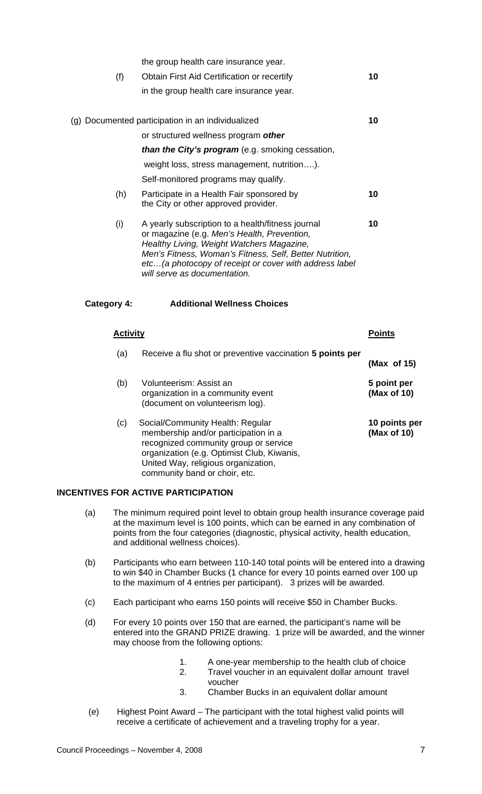| (f)                | the group health care insurance year.<br>Obtain First Aid Certification or recertify<br>in the group health care insurance year.                                                                                                                                                                    | 10                           |
|--------------------|-----------------------------------------------------------------------------------------------------------------------------------------------------------------------------------------------------------------------------------------------------------------------------------------------------|------------------------------|
|                    | (g) Documented participation in an individualized<br>or structured wellness program other                                                                                                                                                                                                           | 10                           |
|                    | than the City's program (e.g. smoking cessation,<br>weight loss, stress management, nutrition).<br>Self-monitored programs may qualify.                                                                                                                                                             |                              |
| (h)                | Participate in a Health Fair sponsored by<br>the City or other approved provider.                                                                                                                                                                                                                   | 10                           |
| (i)                | A yearly subscription to a health/fitness journal<br>or magazine (e.g. Men's Health, Prevention,<br>Healthy Living, Weight Watchers Magazine,<br>Men's Fitness, Woman's Fitness, Self, Better Nutrition,<br>etc (a photocopy of receipt or cover with address label<br>will serve as documentation. | 10                           |
| <b>Category 4:</b> | <b>Additional Wellness Choices</b>                                                                                                                                                                                                                                                                  |                              |
| <b>Activity</b>    | <u>Points</u>                                                                                                                                                                                                                                                                                       |                              |
| (a)                | Receive a flu shot or preventive vaccination 5 points per                                                                                                                                                                                                                                           | (Max of 15)                  |
| (b)                | Volunteerism: Assist an<br>organization in a community event<br>(document on volunteerism log).                                                                                                                                                                                                     | 5 point per<br>(Max of 10)   |
| (c)                | Social/Community Health: Regular<br>membership and/or participation in a<br>recognized community group or service<br>organization (e.g. Optimist Club, Kiwanis,<br>United Way, religious organization,                                                                                              | 10 points per<br>(Max of 10) |

# **INCENTIVES FOR ACTIVE PARTICIPATION**

community band or choir, etc.

- (a) The minimum required point level to obtain group health insurance coverage paid at the maximum level is 100 points, which can be earned in any combination of points from the four categories (diagnostic, physical activity, health education, and additional wellness choices).
- (b) Participants who earn between 110-140 total points will be entered into a drawing to win \$40 in Chamber Bucks (1 chance for every 10 points earned over 100 up to the maximum of 4 entries per participant). 3 prizes will be awarded.
- (c) Each participant who earns 150 points will receive \$50 in Chamber Bucks.
- (d) For every 10 points over 150 that are earned, the participant's name will be entered into the GRAND PRIZE drawing. 1 prize will be awarded, and the winner may choose from the following options:
	- 1. A one-year membership to the health club of choice
	- 2. Travel voucher in an equivalent dollar amount travel voucher
	- 3. Chamber Bucks in an equivalent dollar amount
- (e) Highest Point Award The participant with the total highest valid points will receive a certificate of achievement and a traveling trophy for a year.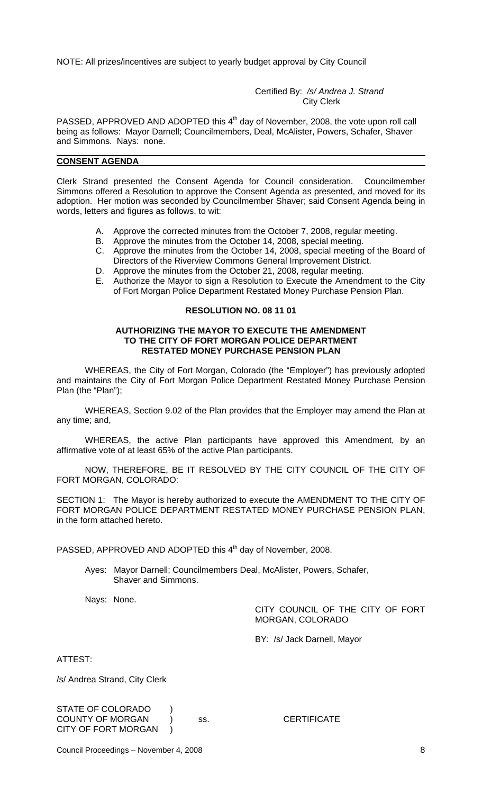NOTE: All prizes/incentives are subject to yearly budget approval by City Council

Certified By: */s/ Andrea J. Strand* City Clerk

PASSED, APPROVED AND ADOPTED this 4<sup>th</sup> day of November, 2008, the vote upon roll call being as follows: Mayor Darnell; Councilmembers, Deal, McAlister, Powers, Schafer, Shaver and Simmons. Nays: none.

### **CONSENT AGENDA**

Clerk Strand presented the Consent Agenda for Council consideration. Councilmember Simmons offered a Resolution to approve the Consent Agenda as presented, and moved for its adoption. Her motion was seconded by Councilmember Shaver; said Consent Agenda being in words, letters and figures as follows, to wit:

- A. Approve the corrected minutes from the October 7, 2008, regular meeting.
- B. Approve the minutes from the October 14, 2008, special meeting.
- C. Approve the minutes from the October 14, 2008, special meeting of the Board of Directors of the Riverview Commons General Improvement District.
- D. Approve the minutes from the October 21, 2008, regular meeting.
- E. Authorize the Mayor to sign a Resolution to Execute the Amendment to the City of Fort Morgan Police Department Restated Money Purchase Pension Plan.

### **RESOLUTION NO. 08 11 01**

#### **AUTHORIZING THE MAYOR TO EXECUTE THE AMENDMENT TO THE CITY OF FORT MORGAN POLICE DEPARTMENT RESTATED MONEY PURCHASE PENSION PLAN**

WHEREAS, the City of Fort Morgan, Colorado (the "Employer") has previously adopted and maintains the City of Fort Morgan Police Department Restated Money Purchase Pension Plan (the "Plan");

WHEREAS, Section 9.02 of the Plan provides that the Employer may amend the Plan at any time; and,

WHEREAS, the active Plan participants have approved this Amendment, by an affirmative vote of at least 65% of the active Plan participants.

NOW, THEREFORE, BE IT RESOLVED BY THE CITY COUNCIL OF THE CITY OF FORT MORGAN, COLORADO:

SECTION 1: The Mayor is hereby authorized to execute the AMENDMENT TO THE CITY OF FORT MORGAN POLICE DEPARTMENT RESTATED MONEY PURCHASE PENSION PLAN, in the form attached hereto.

PASSED, APPROVED AND ADOPTED this 4<sup>th</sup> day of November, 2008.

Ayes: Mayor Darnell; Councilmembers Deal, McAlister, Powers, Schafer, Shaver and Simmons.

Nays: None.

CITY COUNCIL OF THE CITY OF FORT MORGAN, COLORADO

BY: /s/ Jack Darnell, Mayor

ATTEST:

/s/ Andrea Strand, City Clerk

STATE OF COLORADO ) COUNTY OF MORGAN ) ss. CERTIFICATE CITY OF FORT MORGAN

Council Proceedings – November 4, 2008 8